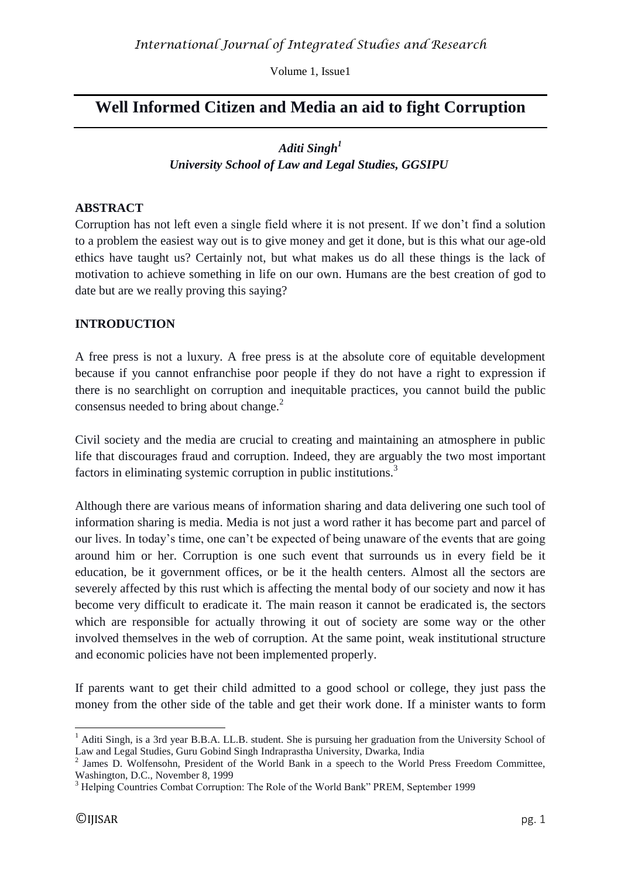Volume 1, Issue1

# **Well Informed Citizen and Media an aid to fight Corruption**

# *Aditi Singh<sup>1</sup> University School of Law and Legal Studies, GGSIPU*

### **ABSTRACT**

Corruption has not left even a single field where it is not present. If we don't find a solution to a problem the easiest way out is to give money and get it done, but is this what our age-old ethics have taught us? Certainly not, but what makes us do all these things is the lack of motivation to achieve something in life on our own. Humans are the best creation of god to date but are we really proving this saying?

### **INTRODUCTION**

A free press is not a luxury. A free press is at the absolute core of equitable development because if you cannot enfranchise poor people if they do not have a right to expression if there is no searchlight on corruption and inequitable practices, you cannot build the public consensus needed to bring about change. $^{2}$ 

Civil society and the media are crucial to creating and maintaining an atmosphere in public life that discourages fraud and corruption. Indeed, they are arguably the two most important factors in eliminating systemic corruption in public institutions.<sup>3</sup>

Although there are various means of information sharing and data delivering one such tool of information sharing is media. Media is not just a word rather it has become part and parcel of our lives. In today's time, one can't be expected of being unaware of the events that are going around him or her. Corruption is one such event that surrounds us in every field be it education, be it government offices, or be it the health centers. Almost all the sectors are severely affected by this rust which is affecting the mental body of our society and now it has become very difficult to eradicate it. The main reason it cannot be eradicated is, the sectors which are responsible for actually throwing it out of society are some way or the other involved themselves in the web of corruption. At the same point, weak institutional structure and economic policies have not been implemented properly.

If parents want to get their child admitted to a good school or college, they just pass the money from the other side of the table and get their work done. If a minister wants to form

 $\overline{a}$ <sup>1</sup> Aditi Singh, is a 3rd year B.B.A. LL.B. student. She is pursuing her graduation from the University School of Law and Legal Studies, Guru Gobind Singh Indraprastha University, Dwarka, India

<sup>&</sup>lt;sup>2</sup> James D. Wolfensohn, President of the World Bank in a speech to the World Press Freedom Committee, Washington, D.C., November 8, 1999

<sup>&</sup>lt;sup>3</sup> Helping Countries Combat Corruption: The Role of the World Bank" PREM, September 1999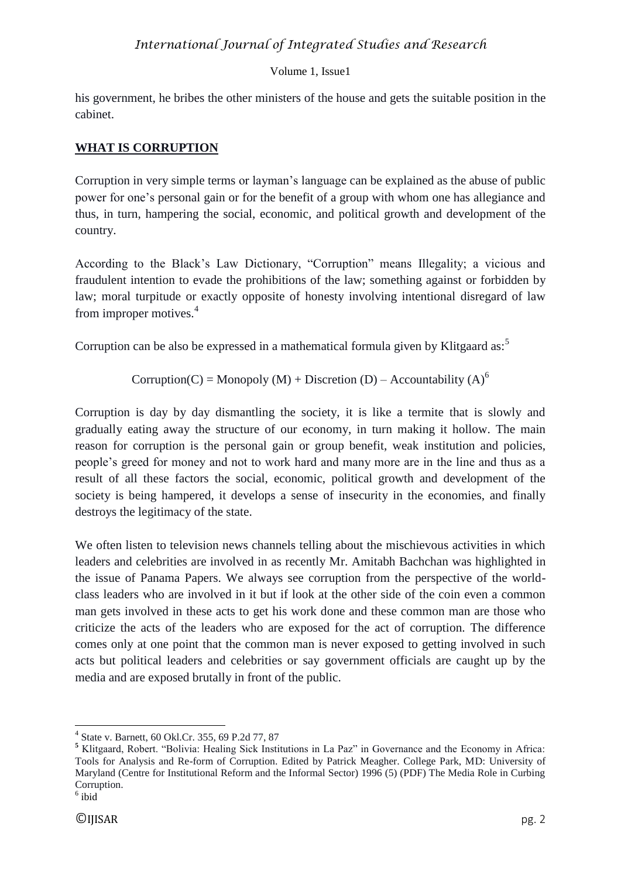# *International Journal of Integrated Studies and Research*

### Volume 1, Issue1

his government, he bribes the other ministers of the house and gets the suitable position in the cabinet.

## **WHAT IS CORRUPTION**

Corruption in very simple terms or layman's language can be explained as the abuse of public power for one's personal gain or for the benefit of a group with whom one has allegiance and thus, in turn, hampering the social, economic, and political growth and development of the country.

According to the Black's Law Dictionary, "Corruption" means Illegality; a vicious and fraudulent intention to evade the prohibitions of the law; something against or forbidden by law; moral turpitude or exactly opposite of honesty involving intentional disregard of law from improper motives.<sup>4</sup>

Corruption can be also be expressed in a mathematical formula given by Klitgaard as:<sup>5</sup>

Corruption(C) = Monopoly (M) + Discretion (D) – Accountability (A)<sup>6</sup>

Corruption is day by day dismantling the society, it is like a termite that is slowly and gradually eating away the structure of our economy, in turn making it hollow. The main reason for corruption is the personal gain or group benefit, weak institution and policies, people's greed for money and not to work hard and many more are in the line and thus as a result of all these factors the social, economic, political growth and development of the society is being hampered, it develops a sense of insecurity in the economies, and finally destroys the legitimacy of the state.

We often listen to television news channels telling about the mischievous activities in which leaders and celebrities are involved in as recently Mr. Amitabh Bachchan was highlighted in the issue of Panama Papers. We always see corruption from the perspective of the worldclass leaders who are involved in it but if look at the other side of the coin even a common man gets involved in these acts to get his work done and these common man are those who criticize the acts of the leaders who are exposed for the act of corruption. The difference comes only at one point that the common man is never exposed to getting involved in such acts but political leaders and celebrities or say government officials are caught up by the media and are exposed brutally in front of the public.

 4 State v. Barnett, 60 Okl.Cr. 355, 69 P.2d 77, 87

**<sup>5</sup>** Klitgaard, Robert. "Bolivia: Healing Sick Institutions in La Paz" in Governance and the Economy in Africa: Tools for Analysis and Re-form of Corruption. Edited by Patrick Meagher. College Park, MD: University of Maryland (Centre for Institutional Reform and the Informal Sector) 1996 (5) (PDF) The Media Role in Curbing Corruption.

<sup>6</sup> ibid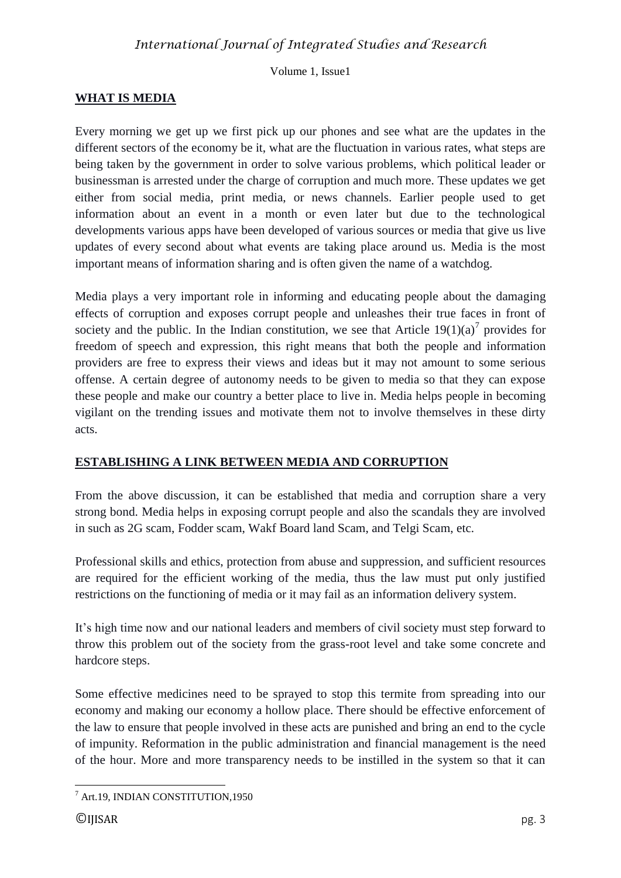Volume 1, Issue1

# **WHAT IS MEDIA**

Every morning we get up we first pick up our phones and see what are the updates in the different sectors of the economy be it, what are the fluctuation in various rates, what steps are being taken by the government in order to solve various problems, which political leader or businessman is arrested under the charge of corruption and much more. These updates we get either from social media, print media, or news channels. Earlier people used to get information about an event in a month or even later but due to the technological developments various apps have been developed of various sources or media that give us live updates of every second about what events are taking place around us. Media is the most important means of information sharing and is often given the name of a watchdog.

Media plays a very important role in informing and educating people about the damaging effects of corruption and exposes corrupt people and unleashes their true faces in front of society and the public. In the Indian constitution, we see that Article  $19(1)(a)^7$  provides for freedom of speech and expression, this right means that both the people and information providers are free to express their views and ideas but it may not amount to some serious offense. A certain degree of autonomy needs to be given to media so that they can expose these people and make our country a better place to live in. Media helps people in becoming vigilant on the trending issues and motivate them not to involve themselves in these dirty acts.

## **ESTABLISHING A LINK BETWEEN MEDIA AND CORRUPTION**

From the above discussion, it can be established that media and corruption share a very strong bond. Media helps in exposing corrupt people and also the scandals they are involved in such as 2G scam, Fodder scam, Wakf Board land Scam, and Telgi Scam, etc.

Professional skills and ethics, protection from abuse and suppression, and sufficient resources are required for the efficient working of the media, thus the law must put only justified restrictions on the functioning of media or it may fail as an information delivery system.

It's high time now and our national leaders and members of civil society must step forward to throw this problem out of the society from the grass-root level and take some concrete and hardcore steps.

Some effective medicines need to be sprayed to stop this termite from spreading into our economy and making our economy a hollow place. There should be effective enforcement of the law to ensure that people involved in these acts are punished and bring an end to the cycle of impunity. Reformation in the public administration and financial management is the need of the hour. More and more transparency needs to be instilled in the system so that it can

**<sup>.</sup>**  $^7$  Art.19, INDIAN CONSTITUTION,1950